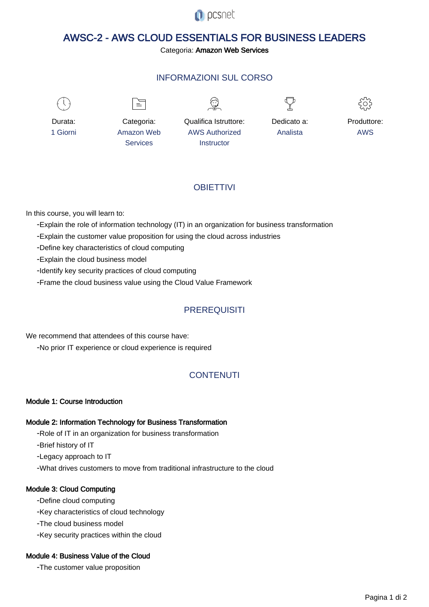

# AWSC-2 - AWS CLOUD ESSENTIALS FOR BUSINESS LEADERS

#### Categoria: Amazon Web Services

## INFORMAZIONI SUL CORSO

 $\overline{a}$ 



Durata: 1 Giorni

Categoria: Amazon Web Services

 $\equiv$ 

Qualifica Istruttore: AWS Authorized **Instructor** 





Produttore: AWS

## **OBIFTTIVI**

In this course, you will learn to:

- Explain the role of information technology (IT) in an organization for business transformation
- Explain the customer value proposition for using the cloud across industries
- Define key characteristics of cloud computing
- Explain the cloud business model
- Identify key security practices of cloud computing
- Frame the cloud business value using the Cloud Value Framework

## **PREREQUISITI**

- No prior IT experience or cloud experience is required We recommend that attendees of this course have:

## **CONTENUTI**

#### Module 1: Course Introduction

#### Module 2: Information Technology for Business Transformation

- Role of IT in an organization for business transformation
- Brief history of IT

- Legacy approach to IT

- What drives customers to move from traditional infrastructure to the cloud

#### Module 3: Cloud Computing

- Define cloud computing
- Key characteristics of cloud technology
- The cloud business model
- Key security practices within the cloud

#### Module 4: Business Value of the Cloud

- The customer value proposition